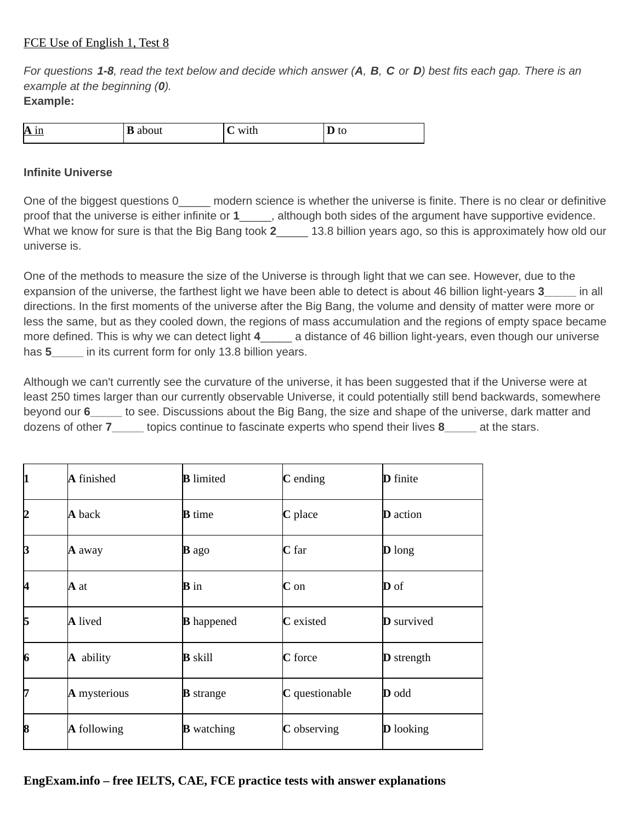## FCE Use of English 1, Test 8

*For questions 1-8, read the text below and decide which answer (А, В, C or D) best fits each gap. There is an example at the beginning (0).* **Example:**

| $\bf{A}$ in<br>____ | ╍<br>. .<br>avout | w<br>, 1 6 1 1 | <b>_</b><br>ີ |
|---------------------|-------------------|----------------|---------------|

## **Infinite Universe**

One of the biggest questions 0 \_\_\_\_\_ modern science is whether the universe is finite. There is no clear or definitive proof that the universe is either infinite or 1 although both sides of the argument have supportive evidence. What we know for sure is that the Big Bang took **2**\_\_\_\_\_ 13.8 billion years ago, so this is approximately how old our universe is.

One of the methods to measure the size of the Universe is through light that we can see. However, due to the expansion of the universe, the farthest light we have been able to detect is about 46 billion light-years **3\_\_\_\_\_** in all directions. In the first moments of the universe after the Big Bang, the volume and density of matter were more or less the same, but as they cooled down, the regions of mass accumulation and the regions of empty space became more defined. This is why we can detect light 4 a distance of 46 billion light-years, even though our universe has **5\_\_\_\_\_** in its current form for only 13.8 billion years.

Although we can't currently see the curvature of the universe, it has been suggested that if the Universe were at least 250 times larger than our currently observable Universe, it could potentially still bend backwards, somewhere beyond our **6\_\_\_\_\_** to see. Discussions about the Big Bang, the size and shape of the universe, dark matter and dozens of other **7\_\_\_\_\_** topics continue to fascinate experts who spend their lives **8\_\_\_\_\_** at the stars.

| 11 | A finished         | <b>B</b> limited  | $C$ ending            | <b>D</b> finite   |
|----|--------------------|-------------------|-----------------------|-------------------|
| 12 | A back             | <b>B</b> time     | C place               | <b>D</b> action   |
| B  | A away             | $\bf{B}$ ago      | $C$ far               | <b>D</b> long     |
| 14 | IA at              | <b>B</b> in       | $C$ on                | D of              |
| 5  | A lived            | <b>B</b> happened | C existed             | <b>D</b> survived |
| 6  | A ability          | <b>B</b> skill    | C force               | <b>D</b> strength |
| 17 | A mysterious       | <b>B</b> strange  | C questionable        | <b>D</b> odd      |
| 8  | <b>A</b> following | <b>B</b> watching | $\mathbf C$ observing | <b>D</b> looking  |